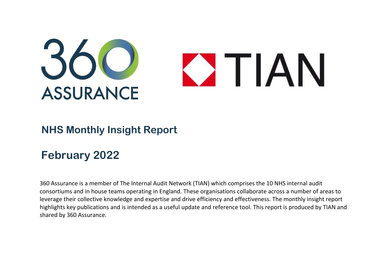

## **NHS Monthly Insight Report**

## **February 2022**

360 Assurance is a member of The Internal Audit Network (TIAN) which comprises the 10 NHS internal audit consortiums and in house teams operating in England. These organisations collaborate across a number of areas to leverage their collective knowledge and expertise and drive efficiency and effectiveness. The monthly insight report highlights key publications and is intended as a useful update and reference tool. This report is produced by TIAN and shared by 360 Assurance.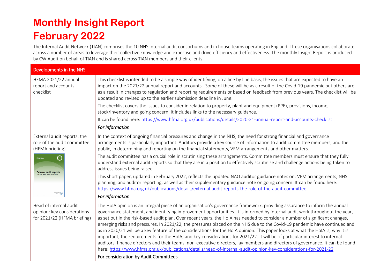## **Monthly Insight Report February 2022**

The Internal Audit Network (TIAN) comprises the 10 NHS internal audit consortiums and in house teams operating in England. These organisations collaborate across a number of areas to leverage their collective knowledge and expertise and drive efficiency and effectiveness. The monthly Insight Report is produced by CW Audit on behalf of TIAN and is shared across TIAN members and their clients.

| Developments in the NHS                                                                              |                                                                                                                                                                                                                                                                                                                                                                                                                                                                                                                                                                                                                                                                                                                                                                                                                                                                                                                                                                                                                                               |
|------------------------------------------------------------------------------------------------------|-----------------------------------------------------------------------------------------------------------------------------------------------------------------------------------------------------------------------------------------------------------------------------------------------------------------------------------------------------------------------------------------------------------------------------------------------------------------------------------------------------------------------------------------------------------------------------------------------------------------------------------------------------------------------------------------------------------------------------------------------------------------------------------------------------------------------------------------------------------------------------------------------------------------------------------------------------------------------------------------------------------------------------------------------|
| <b>HFMA 2021/22 annual</b><br>report and accounts<br>checklist                                       | This checklist is intended to be a simple way of identifying, on a line by line basis, the issues that are expected to have an<br>impact on the 2021/22 annual report and accounts. Some of these will be as a result of the Covid-19 pandemic but others are<br>as a result in changes to regulation and reporting requirements or based on feedback from previous years. The checklist will be<br>updated and revised up to the earlier submission deadline in June.<br>The checklist covers the issues to consider in relation to property, plant and equipment (PPE), provisions, income,<br>stock/inventory and going concern. It includes links to the necessary guidance.<br>It can be found here: https://www.hfma.org.uk/publications/details/2020-21-annual-report-and-accounts-checklist                                                                                                                                                                                                                                           |
|                                                                                                      | For information                                                                                                                                                                                                                                                                                                                                                                                                                                                                                                                                                                                                                                                                                                                                                                                                                                                                                                                                                                                                                               |
| External audit reports: the<br>role of the audit committee<br>(HFMA briefing)                        | In the context of ongoing financial pressures and change in the NHS, the need for strong financial and governance<br>arrangements is particularly important. Auditors provide a key source of information to audit committee members, and the<br>public, in determining and reporting on the financial statements, VFM arrangements and other matters.                                                                                                                                                                                                                                                                                                                                                                                                                                                                                                                                                                                                                                                                                        |
| $\bigodot$<br>0 111 112<br><b>External audit reports</b><br>The role of the audit committee<br>$= 0$ | The audit committee has a crucial role in scrutinising these arrangements. Committee members must ensure that they fully<br>understand external audit reports so that they are in a position to effectively scrutinise and challenge actions being taken to<br>address issues being raised.                                                                                                                                                                                                                                                                                                                                                                                                                                                                                                                                                                                                                                                                                                                                                   |
|                                                                                                      | This short paper, updated in February 2022, reflects the updated NAO auditor guidance notes on: VFM arrangements; NHS<br>planning; and auditor reporting, as well as their supplementary guidance note on going concern. It can be found here:<br>https://www.hfma.org.uk/publications/details/external-audit-reports-the-role-of-the-audit-committee                                                                                                                                                                                                                                                                                                                                                                                                                                                                                                                                                                                                                                                                                         |
|                                                                                                      | For information                                                                                                                                                                                                                                                                                                                                                                                                                                                                                                                                                                                                                                                                                                                                                                                                                                                                                                                                                                                                                               |
| Head of internal audit<br>opinion: key considerations<br>for 2021/22 (HFMA briefing)                 | The HoIA opinion is an integral piece of an organisation's governance framework, providing assurance to inform the annual<br>governance statement, and identifying improvement opportunities. It is informed by internal audit work throughout the year,<br>as set out in the risk-based audit plan. Over recent years, the HoIA has needed to consider a number of significant changes,<br>emerging risks and pressures. In 2021/22, the pressures placed on the NHS due to the Covid-19 pandemic have continued and<br>as in 2020/21 will be a key feature of the considerations for the HoIA opinion. This paper looks at what the HoIA is; why it is<br>important; the requirements for the HoIA; and key considerations for 2021/22. It will be of particular interest to internal<br>auditors, finance directors and their teams, non-executive directors, lay members and directors of governance. It can be found<br>here: https://www.hfma.org.uk/publications/details/head-of-internal-audit-opinion-key-considerations-for-2021-22 |
|                                                                                                      | For consideration by Audit Committees                                                                                                                                                                                                                                                                                                                                                                                                                                                                                                                                                                                                                                                                                                                                                                                                                                                                                                                                                                                                         |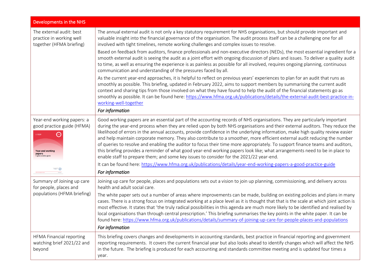| Developments in the NHS                                                                                                                            |                                                                                                                                                                                                                                                                                                                                                                                                                                                                                                                                                                                                                                                                                                                                                                                                                                                                                    |
|----------------------------------------------------------------------------------------------------------------------------------------------------|------------------------------------------------------------------------------------------------------------------------------------------------------------------------------------------------------------------------------------------------------------------------------------------------------------------------------------------------------------------------------------------------------------------------------------------------------------------------------------------------------------------------------------------------------------------------------------------------------------------------------------------------------------------------------------------------------------------------------------------------------------------------------------------------------------------------------------------------------------------------------------|
| The external audit: best<br>practice in working well<br>together (HFMA briefing)                                                                   | The annual external audit is not only a key statutory requirement for NHS organisations, but should provide important and<br>valuable insight into the financial governance of the organisation. The audit process itself can be a challenging one for all<br>involved with tight timelines, remote working challenges and complex issues to resolve.                                                                                                                                                                                                                                                                                                                                                                                                                                                                                                                              |
|                                                                                                                                                    | Based on feedback from auditors, finance professionals and non-executive directors (NEDs), the most essential ingredient for a<br>smooth external audit is seeing the audit as a joint effort with ongoing discussion of plans and issues. To deliver a quality audit<br>to time, as well as ensuring the experience is as painless as possible for all involved, requires ongoing planning, continuous<br>communication and understanding of the pressures faced by all.                                                                                                                                                                                                                                                                                                                                                                                                          |
|                                                                                                                                                    | As the current year-end approaches, it is helpful to reflect on previous years' experiences to plan for an audit that runs as<br>smoothly as possible. This briefing, updated in February 2022, aims to support members by summarising the current audit<br>context and sharing tips from those involved on what they have found to help the audit of the financial statements go as<br>smoothly as possible. It can be found here: https://www.hfma.org.uk/publications/details/the-external-audit-best-practice-in-<br>working-well-together                                                                                                                                                                                                                                                                                                                                     |
|                                                                                                                                                    | For information                                                                                                                                                                                                                                                                                                                                                                                                                                                                                                                                                                                                                                                                                                                                                                                                                                                                    |
| Year-end working papers: a<br>good practice guide (HFMA)<br>hfma<br><b>Distances</b><br><b>Year-end working</b><br>papers<br>A good practice guide | Good working papers are an essential part of the accounting records of NHS organisations. They are particularly important<br>during the year-end process when they are relied upon by both NHS organisations and their external auditors. They reduce the<br>likelihood of errors in the annual accounts, provide confidence in the underlying information, make high quality review easier<br>and help maintain corporate memory. They also contribute to a smoother, more efficient external audit reducing the number<br>of queries to resolve and enabling the auditor to focus their time more appropriately. To support finance teams and auditors,<br>this briefing provides a reminder of what good year-end working papers look like; what arrangements need to be in place to<br>enable staff to prepare them; and some key issues to consider for the 2021/22 year-end. |
|                                                                                                                                                    | It can be found here: https://www.hfma.org.uk/publications/details/year-end-working-papers-a-good-practice-guide<br>For information                                                                                                                                                                                                                                                                                                                                                                                                                                                                                                                                                                                                                                                                                                                                                |
| Summary of Joining up care<br>for people, places and<br>populations (HFMA briefing)                                                                | Joining up care for people, places and populations sets out a vision to join up planning, commissioning, and delivery across<br>health and adult social care.                                                                                                                                                                                                                                                                                                                                                                                                                                                                                                                                                                                                                                                                                                                      |
|                                                                                                                                                    | The white paper sets out a number of areas where improvements can be made, building on existing policies and plans in many<br>cases. There is a strong focus on integrated working at a place level as it is thought that that is the scale at which joint action is<br>most effective. It states that 'the truly radical possibilities in this agenda are much more likely to be identified and realised by<br>local organisations than through central prescription.' This briefing summarises the key points in the white paper. It can be<br>found here: https://www.hfma.org.uk/publications/details/summary-of-joining-up-care-for-people-places-and-populations<br>For information                                                                                                                                                                                          |
| HFMA Financial reporting                                                                                                                           | This briefing covers changes and developments in accounting standards, best practice in financial reporting and government                                                                                                                                                                                                                                                                                                                                                                                                                                                                                                                                                                                                                                                                                                                                                         |
| watching brief 2021/22 and<br>beyond                                                                                                               | reporting requirements. It covers the current financial year but also looks ahead to identify changes which will affect the NHS<br>in the future. The briefing is produced for each accounting and standards committee meeting and is updated four times a<br>year.                                                                                                                                                                                                                                                                                                                                                                                                                                                                                                                                                                                                                |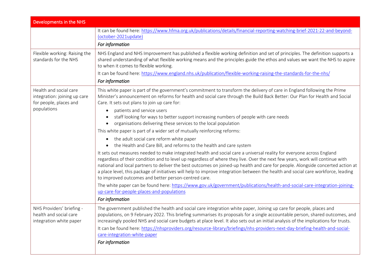| Developments in the NHS                                                                         |                                                                                                                                                                                                                                                                                                                                                                                                                                                                                                                                                                                        |  |
|-------------------------------------------------------------------------------------------------|----------------------------------------------------------------------------------------------------------------------------------------------------------------------------------------------------------------------------------------------------------------------------------------------------------------------------------------------------------------------------------------------------------------------------------------------------------------------------------------------------------------------------------------------------------------------------------------|--|
|                                                                                                 | It can be found here: https://www.hfma.org.uk/publications/details/financial-reporting-watching-brief-2021-22-and-beyond-<br>(october-2021update)<br>For information                                                                                                                                                                                                                                                                                                                                                                                                                   |  |
| Flexible working: Raising the<br>standards for the NHS                                          | NHS England and NHS Improvement has published a flexible working definition and set of principles. The definition supports a<br>shared understanding of what flexible working means and the principles guide the ethos and values we want the NHS to aspire<br>to when it comes to flexible working.                                                                                                                                                                                                                                                                                   |  |
|                                                                                                 | It can be found here: https://www.england.nhs.uk/publication/flexible-working-raising-the-standards-for-the-nhs/                                                                                                                                                                                                                                                                                                                                                                                                                                                                       |  |
|                                                                                                 | For information                                                                                                                                                                                                                                                                                                                                                                                                                                                                                                                                                                        |  |
| Health and social care<br>integration: joining up care<br>for people, places and<br>populations | This white paper is part of the government's commitment to transform the delivery of care in England following the Prime<br>Minister's announcement on reforms for health and social care through the Build Back Better: Our Plan for Health and Social<br>Care. It sets out plans to join up care for:                                                                                                                                                                                                                                                                                |  |
|                                                                                                 | patients and service users<br>$\bullet$<br>staff looking for ways to better support increasing numbers of people with care needs<br>organisations delivering these services to the local population                                                                                                                                                                                                                                                                                                                                                                                    |  |
|                                                                                                 | This white paper is part of a wider set of mutually reinforcing reforms:                                                                                                                                                                                                                                                                                                                                                                                                                                                                                                               |  |
|                                                                                                 | • the adult social care reform white paper<br>the Health and Care Bill, and reforms to the health and care system                                                                                                                                                                                                                                                                                                                                                                                                                                                                      |  |
|                                                                                                 | It sets out measures needed to make integrated health and social care a universal reality for everyone across England<br>regardless of their condition and to level up regardless of where they live. Over the next few years, work will continue with<br>national and local partners to deliver the best outcomes on joined-up health and care for people. Alongside concerted action at<br>a place level, this package of initiatives will help to improve integration between the health and social care workforce, leading<br>to improved outcomes and better person-centred care. |  |
|                                                                                                 | The white paper can be found here: https://www.gov.uk/government/publications/health-and-social-care-integration-joining-<br>up-care-for-people-places-and-populations                                                                                                                                                                                                                                                                                                                                                                                                                 |  |
|                                                                                                 | For information                                                                                                                                                                                                                                                                                                                                                                                                                                                                                                                                                                        |  |
| NHS Providers' briefing -<br>health and social care<br>integration white paper                  | The government published the health and social care integration white paper, Joining up care for people, places and<br>populations, on 9 February 2022. This briefing summarises its proposals for a single accountable person, shared outcomes, and<br>increasingly pooled NHS and social care budgets at place level. It also sets out an initial analysis of the implications for trusts.                                                                                                                                                                                           |  |
|                                                                                                 | It can be found here: https://nhsproviders.org/resource-library/briefings/nhs-providers-next-day-briefing-health-and-social-<br>care-integration-white-paper                                                                                                                                                                                                                                                                                                                                                                                                                           |  |
|                                                                                                 | For information                                                                                                                                                                                                                                                                                                                                                                                                                                                                                                                                                                        |  |
|                                                                                                 |                                                                                                                                                                                                                                                                                                                                                                                                                                                                                                                                                                                        |  |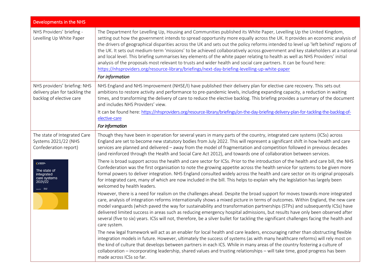| Developments in the NHS                                                                                                                         |                                                                                                                                                                                                                                                                                                                                                                                                                                                                                                                                                                                                                                                                                                                                                                                                                                                                                         |  |
|-------------------------------------------------------------------------------------------------------------------------------------------------|-----------------------------------------------------------------------------------------------------------------------------------------------------------------------------------------------------------------------------------------------------------------------------------------------------------------------------------------------------------------------------------------------------------------------------------------------------------------------------------------------------------------------------------------------------------------------------------------------------------------------------------------------------------------------------------------------------------------------------------------------------------------------------------------------------------------------------------------------------------------------------------------|--|
| NHS Providers' briefing -<br>Levelling Up White Paper                                                                                           | The Department for Levelling Up, Housing and Communities published its White Paper, Levelling Up the United Kingdom,<br>setting out how the government intends to spread opportunity more equally across the UK. It provides an economic analysis of<br>the drivers of geographical disparities across the UK and sets out the policy reforms intended to level up 'left behind' regions of<br>the UK. It sets out medium-term 'missions' to be achieved collaboratively across government and key stakeholders at a national<br>and local level. This briefing summarises key elements of the white paper relating to health as well as NHS Providers' initial<br>analysis of the proposals most relevant to trusts and wider health and social care partners. It can be found here:<br>https://nhsproviders.org/resource-library/briefings/next-day-briefing-levelling-up-white-paper |  |
|                                                                                                                                                 | For information                                                                                                                                                                                                                                                                                                                                                                                                                                                                                                                                                                                                                                                                                                                                                                                                                                                                         |  |
| NHS providers' briefing: NHS<br>delivery plan for tackling the<br>backlog of elective care                                                      | NHS England and NHS Improvement (NHSE/I) have published their delivery plan for elective care recovery. This sets out<br>ambitions to restore activity and performance to pre-pandemic levels, including expanding capacity, a reduction in waiting<br>times, and transforming the delivery of care to reduce the elective backlog. This briefing provides a summary of the document<br>and includes NHS Providers' view.                                                                                                                                                                                                                                                                                                                                                                                                                                                               |  |
|                                                                                                                                                 | It can be found here: https://nhsproviders.org/resource-library/briefings/on-the-day-briefing-delivery-plan-for-tackling-the-backlog-of-<br>elective-care                                                                                                                                                                                                                                                                                                                                                                                                                                                                                                                                                                                                                                                                                                                               |  |
|                                                                                                                                                 | For information                                                                                                                                                                                                                                                                                                                                                                                                                                                                                                                                                                                                                                                                                                                                                                                                                                                                         |  |
| The state of Integrated Care<br>Systems 2021/22 (NHS<br>Confederation report)<br>$O =$<br>The state of<br>integrated<br>care systems<br>2021/22 | Though they have been in operation for several years in many parts of the country, integrated care systems (ICSs) across<br>England are set to become new statutory bodies from July 2022. This will represent a significant shift in how health and care<br>services are planned and delivered - away from the model of fragmentation and competition followed in previous decades<br>(and reinforced through the Health and Social Care Act 2012), and towards one of collaboration between services.                                                                                                                                                                                                                                                                                                                                                                                 |  |
|                                                                                                                                                 | There is broad support across the health and care sector for ICSs. Prior to the introduction of the health and care bill, the NHS<br>Confederation was the first organisation to note the growing appetite across the health service for systems to be given more<br>formal powers to deliver integration. NHS England consulted widely across the health and care sector on its original proposals<br>for integrated care, many of which are now included in the bill. This helps to explain why the legislation has largely been<br>welcomed by health leaders.                                                                                                                                                                                                                                                                                                                       |  |
|                                                                                                                                                 | However, there is a need for realism on the challenges ahead. Despite the broad support for moves towards more integrated<br>care, analysis of integration reforms internationally shows a mixed picture in terms of outcomes. Within England, the new care<br>model vanguards (which paved the way for sustainability and transformation partnerships (STPs) and subsequently ICSs) have<br>delivered limited success in areas such as reducing emergency hospital admissions, but results have only been observed after<br>several (five to six) years. ICSs will not, therefore, be a silver bullet for tackling the significant challenges facing the health and<br>care system.                                                                                                                                                                                                    |  |
|                                                                                                                                                 | The new legal framework will act as an enabler for local health and care leaders, encouraging rather than obstructing flexible<br>integration models in future. However, ultimately the success of systems (as with many healthcare reforms) will rely most on<br>the kind of culture that develops between partners in each ICS. While in many areas of the country fostering a culture of<br>collaboration - incorporating leadership, shared values and trusting relationships - will take time, good progress has been<br>made across ICSs so far.                                                                                                                                                                                                                                                                                                                                  |  |